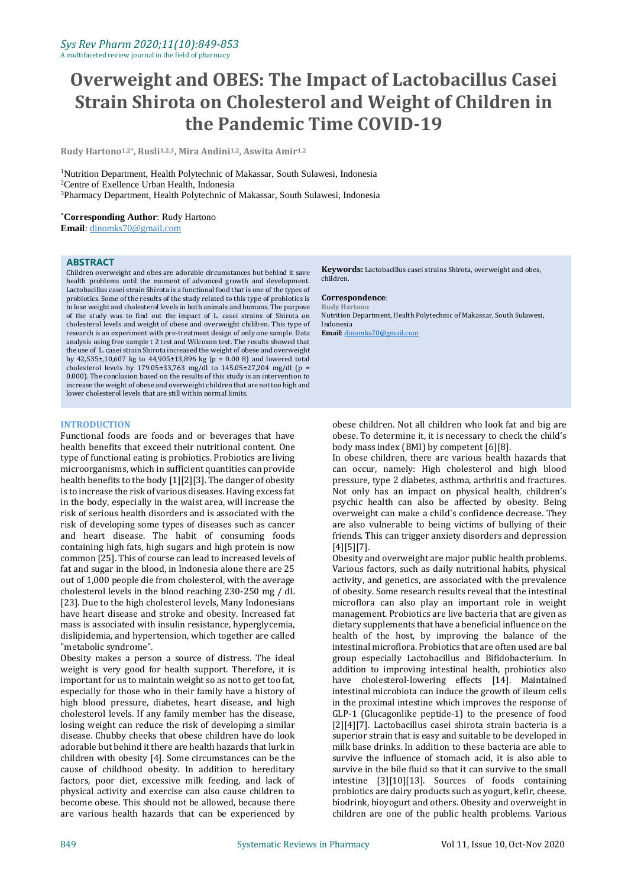# **Overweight and OBES: The Impact of Lactobacillus Casei Strain Shirota on Cholesterol and Weight of Children in the Pandemic Time COVID-19**

**Rudy Hartono1,2\*, Rusli1,2,3, Mira Andini1,2, Aswita Amir1,2**

<sup>1</sup>Nutrition Department, Health Polytechnic of Makassar, South Sulawesi, Indonesia <sup>2</sup>Centre of Exellence Urban Health, Indonesia <sup>3</sup>Pharmacy Department, Health Polytechnic of Makassar, South Sulawesi, Indonesia

\***Corresponding Author**: Rudy Hartono

**Email**[: dinomks70@gmail.com](mailto:dinomks70@gmail.com)

#### **ABSTRACT**

Children overweight and obes are adorable circumstances but behind it save health problems until the moment of advanced growth and development. Lactobacillus casei strain Shirota is a functional food that is one of the types of probiotics. Some of the results of the study related to this type of probiotics is to lose weight and cholesterol levels in both animals and humans. The purpose of the study was to find out the impact of L. casei strains of Shirota on cholesterol levels and weight of obese and overweight children. This type of research is an experiment with pre-treatment design of only one sample. Data analysis using free sample t 2 test and Wilcoxon test. The results showed that the use of L. casei strain Shirota increased the weight of obese and overweight by 42,535±,10,607 kg to 44,905±13,896 kg (p = 0.00 8) and lowered total cholesterol levels by 179.05±33,763 mg/dl to  $145.05\pm27,204$  mg/dl (p = 0.000). The conclusion based on the results of this study is an intervention to increase the weight of obese and overweight children that are not too high and lower cholesterol levels that are still within normal limits.

# **INTRODUCTION**

Functional foods are foods and or beverages that have health benefits that exceed their nutritional content. One type of functional eating is probiotics. Probiotics are living microorganisms, which in sufficient quantities can provide health benefits to the body [1][2][3]. The danger of obesity is to increase the risk of various diseases. Having excess fat in the body, especially in the waist area, will increase the risk of serious health disorders and is associated with the risk of developing some types of diseases such as cancer and heart disease. The habit of consuming foods containing high fats, high sugars and high protein is now common [25]. This of course can lead to increased levels of fat and sugar in the blood, in Indonesia alone there are 25 out of 1,000 people die from cholesterol, with the average cholesterol levels in the blood reaching 230-250 mg / dL [23]. Due to the high cholesterol levels, Many Indonesians have heart disease and stroke and obesity. Increased fat mass is associated with insulin resistance, hyperglycemia, dislipidemia, and hypertension, which together are called "metabolic syndrome".

Obesity makes a person a source of distress. The ideal weight is very good for health support. Therefore, it is important for us to maintain weight so as not to get too fat, especially for those who in their family have a history of high blood pressure, diabetes, heart disease, and high cholesterol levels. If any family member has the disease, losing weight can reduce the risk of developing a similar disease. Chubby cheeks that obese children have do look adorable but behind it there are health hazards that lurk in children with obesity [4]. Some circumstances can be the cause of childhood obesity. In addition to hereditary factors, poor diet, excessive milk feeding, and lack of physical activity and exercise can also cause children to become obese. This should not be allowed, because there are various health hazards that can be experienced by

**Keywords:** Lactobacillus casei strains Shirota, overweight and obes, children.

# **Correspondence**:

**Rudy Hartono** Nutrition Department, Health Polytechnic of Makassar, South Sulawesi, Indonesia **Email**[: dinomks70@gmail.com](mailto:dinomks70@gmail.com)

obese children. Not all children who look fat and big are obese. To determine it, it is necessary to check the child's body mass index (BMI) by competent [6][8].

In obese children, there are various health hazards that can occur, namely: High cholesterol and high blood pressure, type 2 diabetes, asthma, arthritis and fractures. Not only has an impact on physical health, children's psychic health can also be affected by obesity. Being overweight can make a child's confidence decrease. They are also vulnerable to being victims of bullying of their friends. This can trigger anxiety disorders and depression [4][5][7].

Obesity and overweight are major public health problems. Various factors, such as daily nutritional habits, physical activity, and genetics, are associated with the prevalence of obesity. Some research results reveal that the intestinal microflora can also play an important role in weight management. Probiotics are live bacteria that are given as dietary supplements that have a beneficial influence on the health of the host, by improving the balance of the intestinal microflora. Probiotics that are often used are bal group especially Lactobacillus and Bifidobacterium. In addition to improving intestinal health, probiotics also have cholesterol-lowering effects [14]. Maintained intestinal microbiota can induce the growth of ileum cells in the proximal intestine which improves the response of GLP-1 (Glucagonlike peptide-1) to the presence of food [2][4][7]. Lactobacillus casei shirota strain bacteria is a superior strain that is easy and suitable to be developed in milk base drinks. In addition to these bacteria are able to survive the influence of stomach acid, it is also able to survive in the bile fluid so that it can survive to the small intestine [3][10][13]. Sources of foods containing probiotics are dairy products such as yogurt, kefir, cheese, biodrink, bioyogurt and others. Obesity and overweight in children are one of the public health problems. Various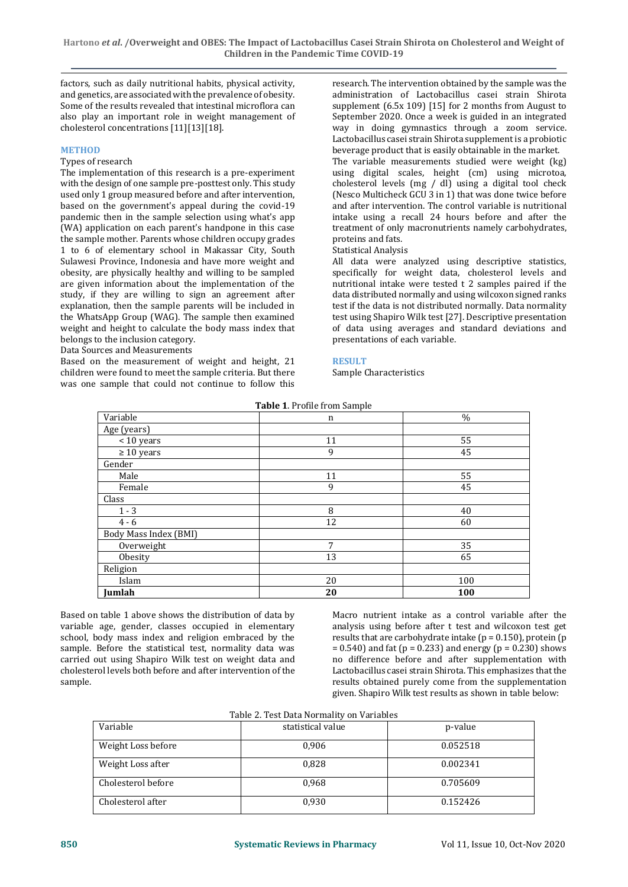factors, such as daily nutritional habits, physical activity, and genetics, are associated with the prevalence of obesity. Some of the results revealed that intestinal microflora can also play an important role in weight management of cholesterol concentrations [11][13][18].

#### **METHOD**

# Types of research

The implementation of this research is a pre-experiment with the design of one sample pre-posttest only. This study used only 1 group measured before and after intervention, based on the government's appeal during the covid-19 pandemic then in the sample selection using what's app (WA) application on each parent's handpone in this case the sample mother. Parents whose children occupy grades 1 to 6 of elementary school in Makassar City, South Sulawesi Province, Indonesia and have more weight and obesity, are physically healthy and willing to be sampled are given information about the implementation of the study, if they are willing to sign an agreement after explanation, then the sample parents will be included in the WhatsApp Group (WAG). The sample then examined weight and height to calculate the body mass index that belongs to the inclusion category.

Data Sources and Measurements

Based on the measurement of weight and height, 21 children were found to meet the sample criteria. But there was one sample that could not continue to follow this

research. The intervention obtained by the sample was the administration of Lactobacillus casei strain Shirota supplement (6.5x 109) [15] for 2 months from August to September 2020. Once a week is guided in an integrated way in doing gymnastics through a zoom service. Lactobacillus casei strain Shirota supplement is a probiotic beverage product that is easily obtainable in the market. The variable measurements studied were weight (kg)

using digital scales, height (cm) using microtoa, cholesterol levels (mg / dl) using a digital tool check (Nesco Multicheck GCU 3 in 1) that was done twice before and after intervention. The control variable is nutritional intake using a recall 24 hours before and after the treatment of only macronutrients namely carbohydrates, proteins and fats.

#### Statistical Analysis

All data were analyzed using descriptive statistics, specifically for weight data, cholesterol levels and nutritional intake were tested t 2 samples paired if the data distributed normally and using wilcoxon signed ranks test if the data is not distributed normally. Data normality test using Shapiro Wilk test [27]. Descriptive presentation of data using averages and standard deviations and presentations of each variable.

#### **RESULT**

Sample Characteristics

| Table 1. Profile from Sample |    |               |  |  |  |
|------------------------------|----|---------------|--|--|--|
| Variable                     | n  | $\frac{0}{0}$ |  |  |  |
| Age (years)                  |    |               |  |  |  |
| < 10 years                   | 11 | 55            |  |  |  |
| $\geq 10$ years              | 9  | 45            |  |  |  |
| Gender                       |    |               |  |  |  |
| Male                         | 11 | 55            |  |  |  |
| Female                       | 9  | 45            |  |  |  |
| Class                        |    |               |  |  |  |
| $1 - 3$                      | 8  | 40            |  |  |  |
| $4 - 6$                      | 12 | 60            |  |  |  |
| Body Mass Index (BMI)        |    |               |  |  |  |
| Overweight                   | 7  | 35            |  |  |  |
| Obesity                      | 13 | 65            |  |  |  |
| Religion                     |    |               |  |  |  |
| Islam                        | 20 | 100           |  |  |  |
| Jumlah                       | 20 | 100           |  |  |  |

Based on table 1 above shows the distribution of data by variable age, gender, classes occupied in elementary school, body mass index and religion embraced by the sample. Before the statistical test, normality data was carried out using Shapiro Wilk test on weight data and cholesterol levels both before and after intervention of the sample.

Macro nutrient intake as a control variable after the analysis using before after t test and wilcoxon test get results that are carbohydrate intake ( $p = 0.150$ ), protein ( $p = 0.150$  $= 0.540$ ) and fat (p = 0.233) and energy (p = 0.230) shows no difference before and after supplementation with Lactobacillus casei strain Shirota. This emphasizes that the results obtained purely come from the supplementation given. Shapiro Wilk test results as shown in table below:

| Variable           | statistical value | p-value  |
|--------------------|-------------------|----------|
| Weight Loss before | 0,906             | 0.052518 |
| Weight Loss after  | 0.828             | 0.002341 |
| Cholesterol before | 0.968             | 0.705609 |
| Cholesterol after  | 0.930             | 0.152426 |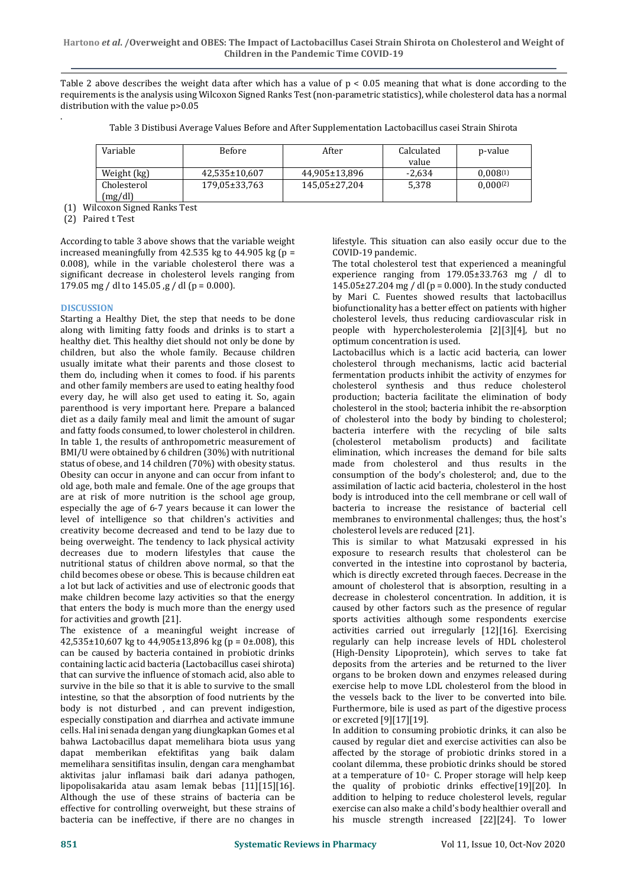Table 2 above describes the weight data after which has a value of  $p < 0.05$  meaning that what is done according to the requirements is the analysis using Wilcoxon Signed Ranks Test (non-parametric statistics), while cholesterol data has a normal distribution with the value p>0.05

|  |  | Table 3 Distibusi Average Values Before and After Supplementation Lactobacillus casei Strain Shirota |  |
|--|--|------------------------------------------------------------------------------------------------------|--|
|--|--|------------------------------------------------------------------------------------------------------|--|

| Variable               | <b>Before</b> | After         | Calculated | p-value       |
|------------------------|---------------|---------------|------------|---------------|
|                        |               |               | value      |               |
| Weight (kg)            | 42.535±10.607 | 44.905±13.896 | $-2.634$   | 0.008(1)      |
| Cholesterol<br>(mg/dl) | 179,05±33,763 | 145.05±27.204 | 5.378      | $0.000^{(2)}$ |

(1) Wilcoxon Signed Ranks Test

(2) Paired t Test

.

According to table 3 above shows that the variable weight increased meaningfully from  $42.535$  kg to  $44.905$  kg (p = 0.008), while in the variable cholesterol there was a significant decrease in cholesterol levels ranging from 179.05 mg / dl to 145.05  $\frac{1}{19}$  / dl (p = 0.000).

# **DISCUSSION**

Starting a Healthy Diet, the step that needs to be done along with limiting fatty foods and drinks is to start a healthy diet. This healthy diet should not only be done by children, but also the whole family. Because children usually imitate what their parents and those closest to them do, including when it comes to food. if his parents and other family members are used to eating healthy food every day, he will also get used to eating it. So, again parenthood is very important here. Prepare a balanced diet as a daily family meal and limit the amount of sugar and fatty foods consumed, to lower cholesterol in children. In table 1, the results of anthropometric measurement of BMI/U were obtained by 6 children (30%) with nutritional status of obese, and 14 children (70%) with obesity status. Obesity can occur in anyone and can occur from infant to old age, both male and female. One of the age groups that are at risk of more nutrition is the school age group, especially the age of 6-7 years because it can lower the level of intelligence so that children's activities and creativity become decreased and tend to be lazy due to being overweight. The tendency to lack physical activity decreases due to modern lifestyles that cause the nutritional status of children above normal, so that the child becomes obese or obese. This is because children eat a lot but lack of activities and use of electronic goods that make children become lazy activities so that the energy that enters the body is much more than the energy used for activities and growth [21].

The existence of a meaningful weight increase of  $42,535\pm10,607$  kg to  $44,905\pm13,896$  kg (p = 0 $\pm$ .008), this can be caused by bacteria contained in probiotic drinks containing lactic acid bacteria (Lactobacillus casei shirota) that can survive the influence of stomach acid, also able to survive in the bile so that it is able to survive to the small intestine, so that the absorption of food nutrients by the body is not disturbed , and can prevent indigestion, especially constipation and diarrhea and activate immune cells. Hal ini senada dengan yang diungkapkan Gomes et al bahwa Lactobacillus dapat memelihara biota usus yang dapat memberikan efektifitas yang baik dalam memelihara sensitifitas insulin, dengan cara menghambat aktivitas jalur inflamasi baik dari adanya pathogen, lipopolisakarida atau asam lemak bebas [11][15][16]. Although the use of these strains of bacteria can be effective for controlling overweight, but these strains of bacteria can be ineffective, if there are no changes in

lifestyle. This situation can also easily occur due to the COVID-19 pandemic.

The total cholesterol test that experienced a meaningful experience ranging from 179.05±33.763 mg / dl to 145.05 $\pm$ 27.204 mg / dl (p = 0.000). In the study conducted by Mari C. Fuentes showed results that lactobacillus biofunctionality has a better effect on patients with higher cholesterol levels, thus reducing cardiovascular risk in people with hypercholesterolemia [2][3][4], but no optimum concentration is used.

Lactobacillus which is a lactic acid bacteria, can lower cholesterol through mechanisms, lactic acid bacterial fermentation products inhibit the activity of enzymes for cholesterol synthesis and thus reduce cholesterol production; bacteria facilitate the elimination of body cholesterol in the stool; bacteria inhibit the re-absorption of cholesterol into the body by binding to cholesterol; bacteria interfere with the recycling of bile salts (cholesterol metabolism products) and facilitate elimination, which increases the demand for bile salts made from cholesterol and thus results in the consumption of the body's cholesterol; and, due to the assimilation of lactic acid bacteria, cholesterol in the host body is introduced into the cell membrane or cell wall of bacteria to increase the resistance of bacterial cell membranes to environmental challenges; thus, the host's cholesterol levels are reduced [21].

This is similar to what Matzusaki expressed in his exposure to research results that cholesterol can be converted in the intestine into coprostanol by bacteria, which is directly excreted through faeces. Decrease in the amount of cholesterol that is absorption, resulting in a decrease in cholesterol concentration. In addition, it is caused by other factors such as the presence of regular sports activities although some respondents exercise activities carried out irregularly [12][16]. Exercising regularly can help increase levels of HDL cholesterol (High-Density Lipoprotein), which serves to take fat deposits from the arteries and be returned to the liver organs to be broken down and enzymes released during exercise help to move LDL cholesterol from the blood in the vessels back to the liver to be converted into bile. Furthermore, bile is used as part of the digestive process or excreted [9][17][19].

In addition to consuming probiotic drinks, it can also be caused by regular diet and exercise activities can also be affected by the storage of probiotic drinks stored in a coolant dilemma, these probiotic drinks should be stored at a temperature of 10◦ C. Proper storage will help keep the quality of probiotic drinks effective[19][20]. In addition to helping to reduce cholesterol levels, regular exercise can also make a child's body healthier overall and his muscle strength increased [22][24]. To lower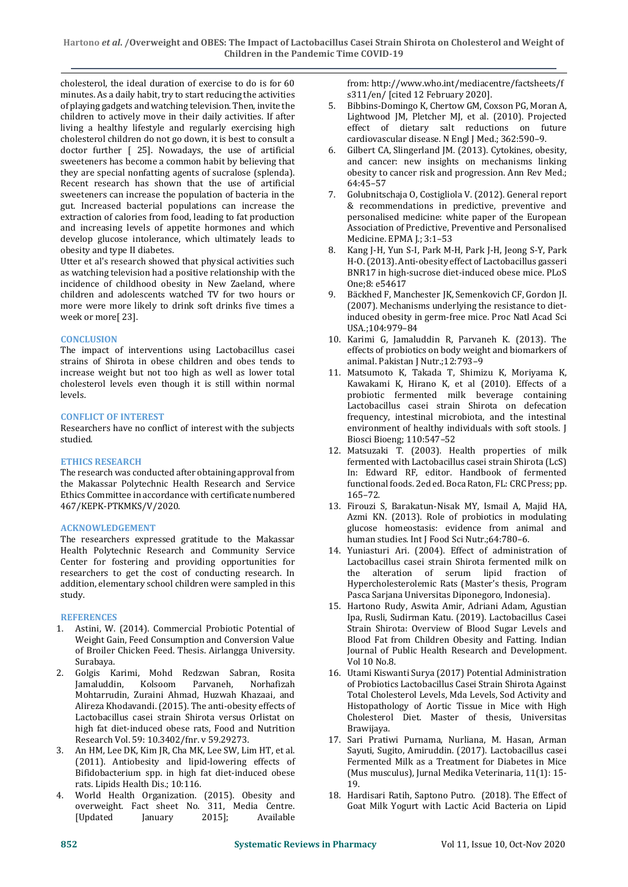cholesterol, the ideal duration of exercise to do is for 60 minutes. As a daily habit, try to start reducing the activities of playing gadgets and watching television. Then, invite the children to actively move in their daily activities. If after living a healthy lifestyle and regularly exercising high cholesterol children do not go down, it is best to consult a doctor further [ 25]. Nowadays, the use of artificial sweeteners has become a common habit by believing that they are special nonfatting agents of sucralose (splenda). Recent research has shown that the use of artificial sweeteners can increase the population of bacteria in the gut. Increased bacterial populations can increase the extraction of calories from food, leading to fat production and increasing levels of appetite hormones and which develop glucose intolerance, which ultimately leads to obesity and type II diabetes.

Utter et al's research showed that physical activities such as watching television had a positive relationship with the incidence of childhood obesity in New Zaeland, where children and adolescents watched TV for two hours or more were more likely to drink soft drinks five times a week or more[ 23].

# **CONCLUSION**

The impact of interventions using Lactobacillus casei strains of Shirota in obese children and obes tends to increase weight but not too high as well as lower total cholesterol levels even though it is still within normal levels.

# **CONFLICT OF INTEREST**

Researchers have no conflict of interest with the subjects studied.

# **ETHICS RESEARCH**

The research was conducted after obtaining approval from the Makassar Polytechnic Health Research and Service Ethics Committee in accordance with certificate numbered 467/KEPK-PTKMKS/V/2020.

# **ACKNOWLEDGEMENT**

The researchers expressed gratitude to the Makassar Health Polytechnic Research and Community Service Center for fostering and providing opportunities for researchers to get the cost of conducting research. In addition, elementary school children were sampled in this study.

# **REFERENCES**

- 1. Astini, W. (2014). Commercial Probiotic Potential of Weight Gain, Feed Consumption and Conversion Value of Broiler Chicken Feed. Thesis. Airlangga University. Surabaya.
- 2. Golgis Karimi, Mohd Redzwan Sabran, Rosita Jamaluddin, Kolsoom Parvaneh, Norhafizah Mohtarrudin, Zuraini Ahmad, Huzwah Khazaai, and Alireza Khodavandi. (2015). The anti-obesity effects of Lactobacillus casei strain Shirota versus Orlistat on high fat diet-induced obese rats, Food and Nutrition Research Vol. 59: 10.3402/fnr. v 59.29273.
- 3. An HM, Lee DK, Kim JR, Cha MK, Lee SW, Lim HT, et al. (2011). Antiobesity and lipid-lowering effects of Bifidobacterium spp. in high fat diet-induced obese rats. Lipids Health Dis.; 10:116.
- World Health Organization. (2015). Obesity and overweight. Fact sheet No. 311, Media Centre. [Updated January 2015]; Available

from: [http://www.who.int/mediacentre/factsheets/f](https://ssl.microsofttranslator.com/bv.aspx?ref=TAns&from=&to=en&a=http%3A%2F%2Fwww.who.int%2Fmediacentre%2Ffactsheets%2Ffs311%2Fen%2F) [s311/en/](https://ssl.microsofttranslator.com/bv.aspx?ref=TAns&from=&to=en&a=http%3A%2F%2Fwww.who.int%2Fmediacentre%2Ffactsheets%2Ffs311%2Fen%2F) [cited 12 February 2020].

- 5. Bibbins-Domingo K, Chertow GM, Coxson PG, Moran A, Lightwood JM, Pletcher MJ, et al. (2010). Projected effect of dietary salt reductions on future cardiovascular disease. N Engl J Med.; 362:590–9.
- Gilbert CA, Slingerland JM. (2013). Cytokines, obesity, and cancer: new insights on mechanisms linking obesity to cancer risk and progression. Ann Rev Med.; 64:45–57
- 7. Golubnitschaja O, Costigliola V. (2012). General report & recommendations in predictive, preventive and personalised medicine: white paper of the European Association of Predictive, Preventive and Personalised Medicine. EPMA J.; 3:1–53
- 8. Kang J-H, Yun S-I, Park M-H, Park J-H, Jeong S-Y, Park H-O. (2013). Anti-obesity effect of Lactobacillus gasseri BNR17 in high-sucrose diet-induced obese mice. PLoS One;8: e54617
- 9. Bäckhed F, Manchester JK, Semenkovich CF, Gordon JI. (2007). Mechanisms underlying the resistance to dietinduced obesity in germ-free mice. Proc Natl Acad Sci USA.;104:979–84
- 10. Karimi G, Jamaluddin R, Parvaneh K. (2013). The effects of probiotics on body weight and biomarkers of animal. Pakistan J Nutr.;12:793–9
- 11. Matsumoto K, Takada T, Shimizu K, Moriyama K, Kawakami K, Hirano K, et al (2010). Effects of a probiotic fermented milk beverage containing Lactobacillus casei strain Shirota on defecation frequency, intestinal microbiota, and the intestinal environment of healthy individuals with soft stools. J Biosci Bioeng; 110:547–52
- 12. Matsuzaki T. (2003). Health properties of milk fermented with Lactobacillus casei strain Shirota (LcS) In: Edward RF, editor. Handbook of fermented functional foods. 2ed ed. Boca Raton, FL: CRC Press; pp. 165–72.
- 13. Firouzi S, Barakatun-Nisak MY, Ismail A, Majid HA, Azmi KN. (2013). Role of probiotics in modulating glucose homeostasis: evidence from animal and human studies. Int J Food Sci Nutr.;64:780–6.
- 14. Yuniasturi Ari. (2004). Effect of administration of Lactobacillus casei strain Shirota fermented milk on the alteration of serum lipid fraction of Hypercholesterolemic Rats (Master's thesis, Program Pasca Sarjana Universitas Diponegoro, Indonesia).
- 15. Hartono Rudy, Aswita Amir, Adriani Adam, Agustian Ipa, Rusli, Sudirman Katu. (2019). Lactobacillus Casei Strain Shirota: Overview of Blood Sugar Levels and Blood Fat from Children Obesity and Fatting. Indian Journal of Public Health Research and Development. Vol 10 No.8.
- 16. Utami Kiswanti Surya (2017) Potential Administration of Probiotics Lactobacillus Casei Strain Shirota Against Total Cholesterol Levels, Mda Levels, Sod Activity and Histopathology of Aortic Tissue in Mice with High Cholesterol Diet. Master of thesis, Universitas Brawijaya.
- 17. Sari Pratiwi Purnama, Nurliana, M. Hasan, Arman Sayuti, Sugito, Amiruddin. (2017). Lactobacillus casei Fermented Milk as a Treatment for Diabetes in Mice (Mus musculus), Jurnal Medika Veterinaria, 11(1): 15- 19.
- 18. Hardisari Ratih, Saptono Putro. (2018). The Effect of Goat Milk Yogurt with Lactic Acid Bacteria on Lipid